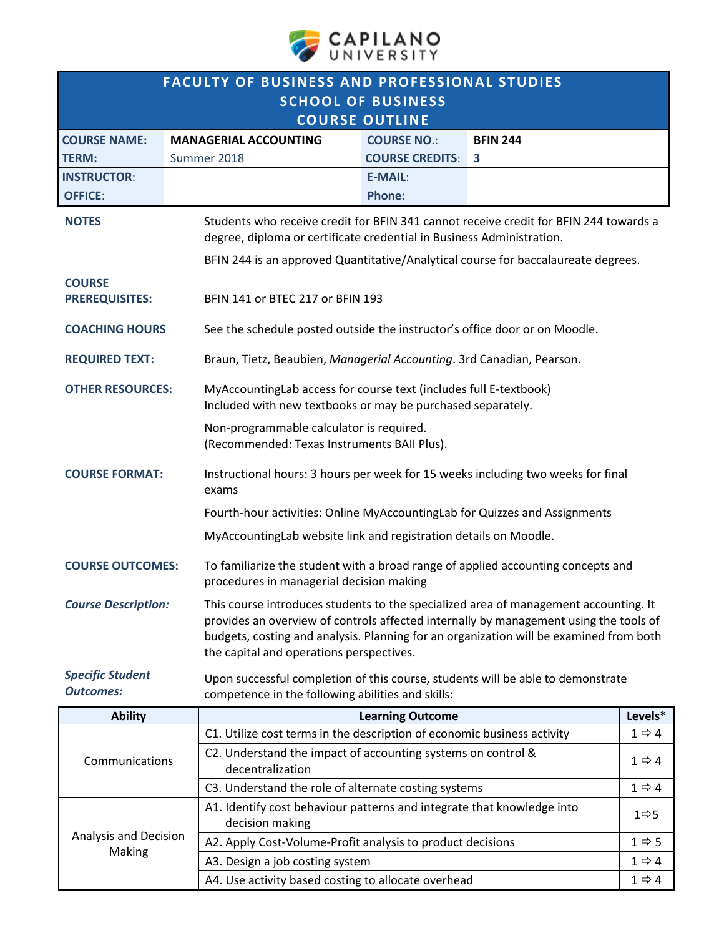

| <b>FACULTY OF BUSINESS AND PROFESSIONAL STUDIES</b> |                                                                                                                                                                |                                                                                                                                                                                                                                                                                                                     |                                                                                 |                   |  |  |  |  |
|-----------------------------------------------------|----------------------------------------------------------------------------------------------------------------------------------------------------------------|---------------------------------------------------------------------------------------------------------------------------------------------------------------------------------------------------------------------------------------------------------------------------------------------------------------------|---------------------------------------------------------------------------------|-------------------|--|--|--|--|
| <b>SCHOOL OF BUSINESS</b><br><b>COURSE OUTLINE</b>  |                                                                                                                                                                |                                                                                                                                                                                                                                                                                                                     |                                                                                 |                   |  |  |  |  |
| <b>COURSE NAME:</b>                                 | <b>MANAGERIAL ACCOUNTING</b>                                                                                                                                   | <b>COURSE NO.:</b>                                                                                                                                                                                                                                                                                                  | <b>BFIN 244</b>                                                                 |                   |  |  |  |  |
| <b>TERM:</b>                                        | Summer 2018                                                                                                                                                    | <b>COURSE CREDITS:</b>                                                                                                                                                                                                                                                                                              | 3                                                                               |                   |  |  |  |  |
| <b>INSTRUCTOR:</b>                                  |                                                                                                                                                                | <b>E-MAIL:</b>                                                                                                                                                                                                                                                                                                      |                                                                                 |                   |  |  |  |  |
| <b>OFFICE:</b>                                      |                                                                                                                                                                | <b>Phone:</b>                                                                                                                                                                                                                                                                                                       |                                                                                 |                   |  |  |  |  |
| <b>NOTES</b>                                        | Students who receive credit for BFIN 341 cannot receive credit for BFIN 244 towards a<br>degree, diploma or certificate credential in Business Administration. |                                                                                                                                                                                                                                                                                                                     |                                                                                 |                   |  |  |  |  |
|                                                     |                                                                                                                                                                | BFIN 244 is an approved Quantitative/Analytical course for baccalaureate degrees.                                                                                                                                                                                                                                   |                                                                                 |                   |  |  |  |  |
| <b>COURSE</b><br><b>PREREQUISITES:</b>              |                                                                                                                                                                | BFIN 141 or BTEC 217 or BFIN 193                                                                                                                                                                                                                                                                                    |                                                                                 |                   |  |  |  |  |
| <b>COACHING HOURS</b>                               |                                                                                                                                                                | See the schedule posted outside the instructor's office door or on Moodle.                                                                                                                                                                                                                                          |                                                                                 |                   |  |  |  |  |
| <b>REQUIRED TEXT:</b>                               |                                                                                                                                                                | Braun, Tietz, Beaubien, Managerial Accounting. 3rd Canadian, Pearson.                                                                                                                                                                                                                                               |                                                                                 |                   |  |  |  |  |
| <b>OTHER RESOURCES:</b>                             |                                                                                                                                                                | MyAccountingLab access for course text (includes full E-textbook)<br>Included with new textbooks or may be purchased separately.                                                                                                                                                                                    |                                                                                 |                   |  |  |  |  |
|                                                     |                                                                                                                                                                | Non-programmable calculator is required.<br>(Recommended: Texas Instruments BAII Plus).                                                                                                                                                                                                                             |                                                                                 |                   |  |  |  |  |
| <b>COURSE FORMAT:</b>                               | exams                                                                                                                                                          | Instructional hours: 3 hours per week for 15 weeks including two weeks for final                                                                                                                                                                                                                                    |                                                                                 |                   |  |  |  |  |
|                                                     |                                                                                                                                                                | Fourth-hour activities: Online MyAccountingLab for Quizzes and Assignments                                                                                                                                                                                                                                          |                                                                                 |                   |  |  |  |  |
|                                                     |                                                                                                                                                                | MyAccountingLab website link and registration details on Moodle.                                                                                                                                                                                                                                                    |                                                                                 |                   |  |  |  |  |
| <b>COURSE OUTCOMES:</b>                             |                                                                                                                                                                | To familiarize the student with a broad range of applied accounting concepts and<br>procedures in managerial decision making                                                                                                                                                                                        |                                                                                 |                   |  |  |  |  |
| <b>Course Description:</b>                          |                                                                                                                                                                | This course introduces students to the specialized area of management accounting. It<br>provides an overview of controls affected internally by management using the tools of<br>budgets, costing and analysis. Planning for an organization will be examined from both<br>the capital and operations perspectives. |                                                                                 |                   |  |  |  |  |
| <b>Specific Student</b><br><b>Outcomes:</b>         | competence in the following abilities and skills:                                                                                                              |                                                                                                                                                                                                                                                                                                                     | Upon successful completion of this course, students will be able to demonstrate |                   |  |  |  |  |
| <b>Ability</b>                                      |                                                                                                                                                                | <b>Learning Outcome</b>                                                                                                                                                                                                                                                                                             |                                                                                 | Levels*           |  |  |  |  |
|                                                     | C1. Utilize cost terms in the description of economic business activity                                                                                        |                                                                                                                                                                                                                                                                                                                     |                                                                                 | $1 \Rightarrow 4$ |  |  |  |  |
| Communications                                      | decentralization                                                                                                                                               | C2. Understand the impact of accounting systems on control &                                                                                                                                                                                                                                                        |                                                                                 |                   |  |  |  |  |
|                                                     |                                                                                                                                                                | C3. Understand the role of alternate costing systems                                                                                                                                                                                                                                                                |                                                                                 |                   |  |  |  |  |
|                                                     | decision making                                                                                                                                                | A1. Identify cost behaviour patterns and integrate that knowledge into                                                                                                                                                                                                                                              |                                                                                 |                   |  |  |  |  |
| Analysis and Decision<br>Making                     |                                                                                                                                                                | A2. Apply Cost-Volume-Profit analysis to product decisions<br>$1 \Rightarrow 5$                                                                                                                                                                                                                                     |                                                                                 |                   |  |  |  |  |
|                                                     | A3. Design a job costing system                                                                                                                                |                                                                                                                                                                                                                                                                                                                     |                                                                                 | $1 \Rightarrow 4$ |  |  |  |  |
|                                                     | A4. Use activity based costing to allocate overhead<br>$1 \Rightarrow 4$                                                                                       |                                                                                                                                                                                                                                                                                                                     |                                                                                 |                   |  |  |  |  |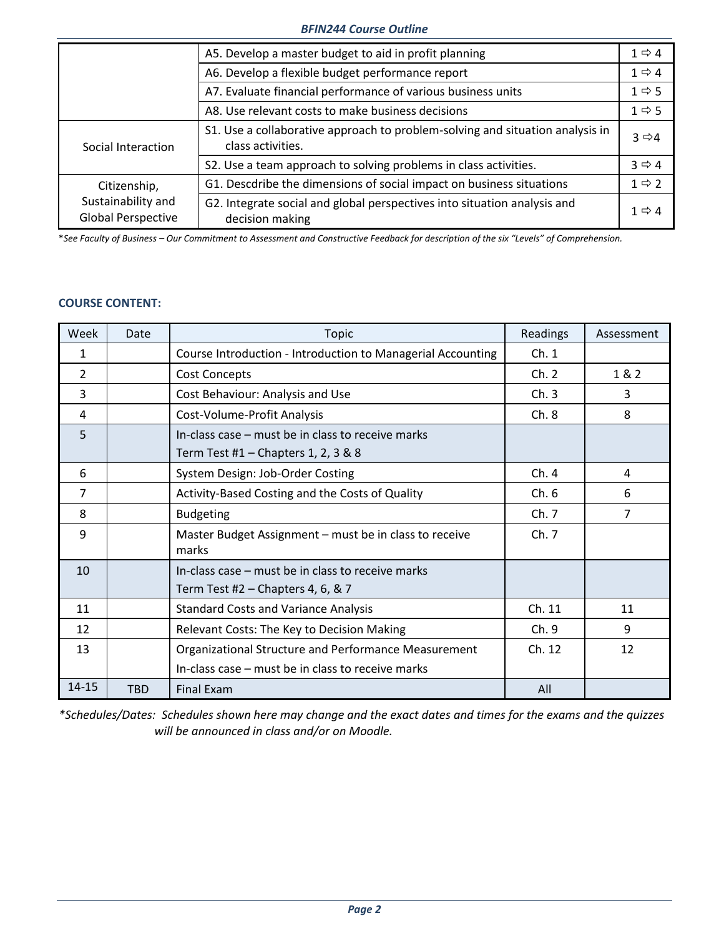# *BFIN244 Course Outline*

|                                                                 | A5. Develop a master budget to aid in profit planning                                              |                       |  |  |  |
|-----------------------------------------------------------------|----------------------------------------------------------------------------------------------------|-----------------------|--|--|--|
|                                                                 | A6. Develop a flexible budget performance report                                                   |                       |  |  |  |
|                                                                 | A7. Evaluate financial performance of various business units<br>$1 \Rightarrow 5$                  |                       |  |  |  |
|                                                                 | A8. Use relevant costs to make business decisions                                                  |                       |  |  |  |
| Social Interaction                                              | S1. Use a collaborative approach to problem-solving and situation analysis in<br>class activities. |                       |  |  |  |
|                                                                 | S2. Use a team approach to solving problems in class activities.                                   | $3 \Leftrightarrow 4$ |  |  |  |
| Citizenship,<br>Sustainability and<br><b>Global Perspective</b> | G1. Descdribe the dimensions of social impact on business situations                               | $1 \Rightarrow 2$     |  |  |  |
|                                                                 | G2. Integrate social and global perspectives into situation analysis and<br>decision making        | $1 \Rightarrow 4$     |  |  |  |

\**See Faculty of Business – Our Commitment to Assessment and Constructive Feedback for description of the six "Levels" of Comprehension.*

## **COURSE CONTENT:**

| Week           | Date       | <b>Topic</b>                                                                             | Readings | Assessment |
|----------------|------------|------------------------------------------------------------------------------------------|----------|------------|
| 1              |            | Course Introduction - Introduction to Managerial Accounting                              | Ch.1     |            |
| $\overline{2}$ |            | <b>Cost Concepts</b>                                                                     | Ch. 2    | 1 & 2      |
| 3              |            | Cost Behaviour: Analysis and Use                                                         | Ch.3     | 3          |
| 4              |            | Cost-Volume-Profit Analysis                                                              | Ch.8     | 8          |
| 5              |            | In-class case - must be in class to receive marks<br>Term Test #1 – Chapters 1, 2, 3 & 8 |          |            |
| 6              |            | System Design: Job-Order Costing                                                         | Ch.4     | 4          |
| $\overline{7}$ |            | Activity-Based Costing and the Costs of Quality                                          | Ch.6     | 6          |
| 8              |            | <b>Budgeting</b>                                                                         | Ch. 7    | 7          |
| 9              |            | Master Budget Assignment - must be in class to receive<br>marks                          | Ch. 7    |            |
| 10             |            | In-class case – must be in class to receive marks<br>Term Test #2 $-$ Chapters 4, 6, & 7 |          |            |
| 11             |            | <b>Standard Costs and Variance Analysis</b>                                              | Ch. 11   | 11         |
| 12             |            | Relevant Costs: The Key to Decision Making                                               | Ch.9     | 9          |
| 13             |            | Organizational Structure and Performance Measurement                                     | Ch. 12   | 12         |
|                |            | In-class case - must be in class to receive marks                                        |          |            |
| 14-15          | <b>TBD</b> | <b>Final Exam</b>                                                                        | All      |            |

*\*Schedules/Dates: Schedules shown here may change and the exact dates and times for the exams and the quizzes will be announced in class and/or on Moodle.*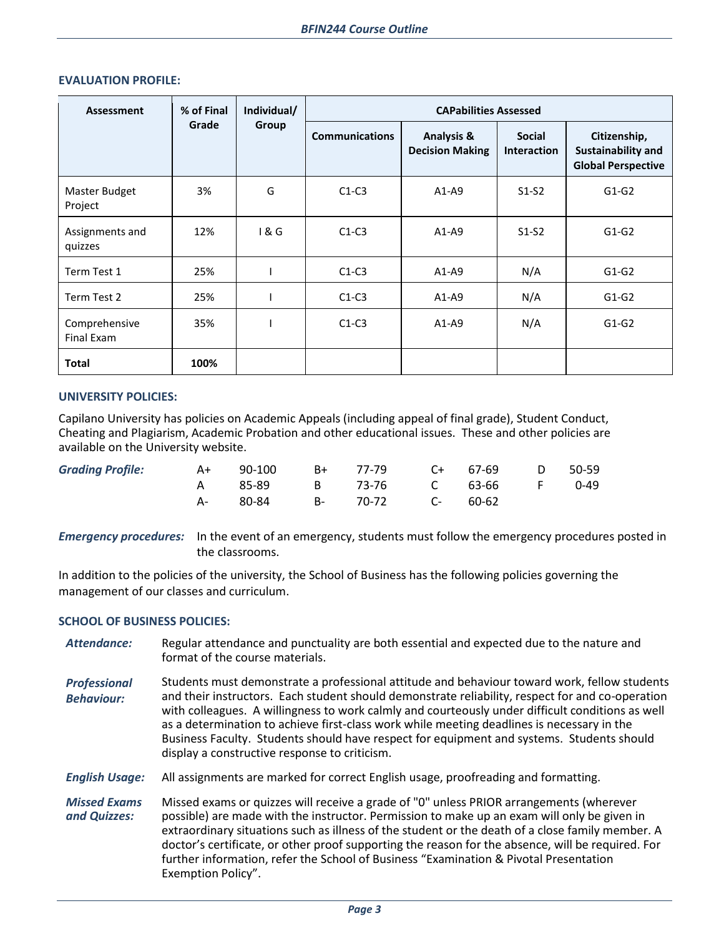| Assessment                  | % of Final<br>Grade | Individual/<br>Group | <b>CAPabilities Assessed</b> |                                                 |                                     |                                                                 |  |  |
|-----------------------------|---------------------|----------------------|------------------------------|-------------------------------------------------|-------------------------------------|-----------------------------------------------------------------|--|--|
|                             |                     |                      | <b>Communications</b>        | <b>Analysis &amp;</b><br><b>Decision Making</b> | <b>Social</b><br><b>Interaction</b> | Citizenship,<br>Sustainability and<br><b>Global Perspective</b> |  |  |
| Master Budget<br>Project    | 3%                  | G                    | $C1-C3$                      | $A1-A9$                                         | $S1-S2$                             | $G1-G2$                                                         |  |  |
| Assignments and<br>quizzes  | 12%                 | 18G                  | $C1-C3$                      | $A1-A9$                                         | $S1-S2$                             | $G1-G2$                                                         |  |  |
| Term Test 1                 | 25%                 |                      | $C1-C3$                      | $A1-A9$                                         | N/A                                 | $G1-G2$                                                         |  |  |
| Term Test 2                 | 25%                 |                      | $C1-C3$                      | $A1-A9$                                         | N/A                                 | $G1-G2$                                                         |  |  |
| Comprehensive<br>Final Exam | 35%                 |                      | $C1-C3$                      | $A1-A9$                                         | N/A                                 | $G1-G2$                                                         |  |  |
| <b>Total</b>                | 100%                |                      |                              |                                                 |                                     |                                                                 |  |  |

## **EVALUATION PROFILE:**

### **UNIVERSITY POLICIES:**

Capilano University has policies on Academic Appeals (including appeal of final grade), Student Conduct, Cheating and Plagiarism, Academic Probation and other educational issues. These and other policies are available on the University website.

| Grading Profile: A+ 90-100 B+ 77-79 C+ 67-69 D 50-59 |                                |  |  |  |
|------------------------------------------------------|--------------------------------|--|--|--|
|                                                      | A 85-89 B 73-76 C 63-66 F 0-49 |  |  |  |
|                                                      | A- 80-84 B- 70-72 C- 60-62     |  |  |  |

*Emergency procedures:* In the event of an emergency, students must follow the emergency procedures posted in the classrooms.

In addition to the policies of the university, the School of Business has the following policies governing the management of our classes and curriculum.

#### **SCHOOL OF BUSINESS POLICIES:**

- *Attendance:* Regular attendance and punctuality are both essential and expected due to the nature and format of the course materials.
- *Professional Behaviour:* Students must demonstrate a professional attitude and behaviour toward work, fellow students and their instructors. Each student should demonstrate reliability, respect for and co-operation with colleagues. A willingness to work calmly and courteously under difficult conditions as well as a determination to achieve first-class work while meeting deadlines is necessary in the Business Faculty. Students should have respect for equipment and systems. Students should display a constructive response to criticism.

*English Usage:* All assignments are marked for correct English usage, proofreading and formatting.

*Missed Exams and Quizzes:* Missed exams or quizzes will receive a grade of "0" unless PRIOR arrangements (wherever possible) are made with the instructor. Permission to make up an exam will only be given in extraordinary situations such as illness of the student or the death of a close family member. A doctor's certificate, or other proof supporting the reason for the absence, will be required. For further information, refer the School of Business "Examination & Pivotal Presentation Exemption Policy".